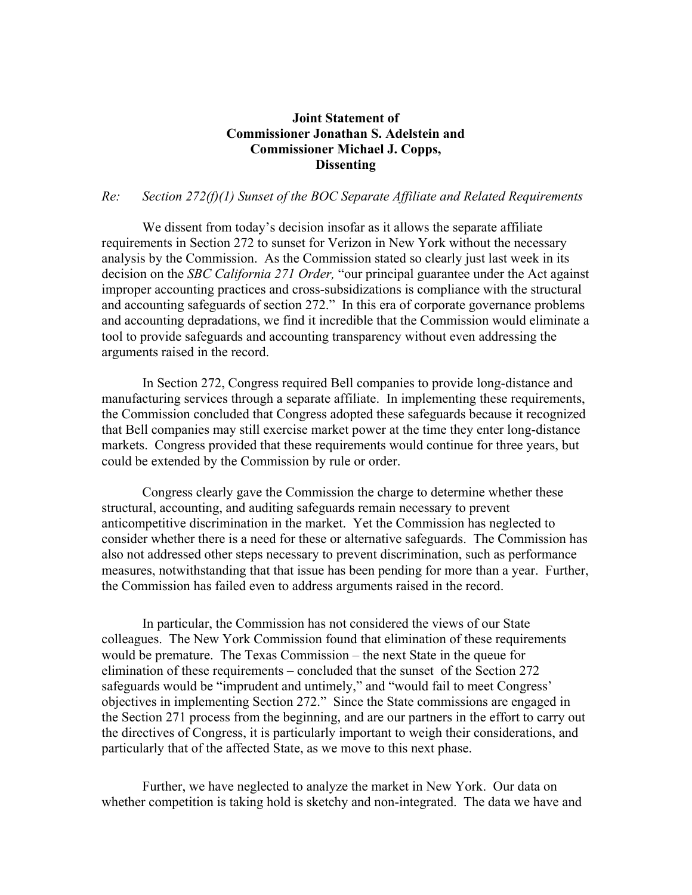## **Joint Statement of Commissioner Jonathan S. Adelstein and Commissioner Michael J. Copps, Dissenting**

## *Re: Section 272(f)(1) Sunset of the BOC Separate Affiliate and Related Requirements*

We dissent from today's decision insofar as it allows the separate affiliate requirements in Section 272 to sunset for Verizon in New York without the necessary analysis by the Commission. As the Commission stated so clearly just last week in its decision on the *SBC California 271 Order,* "our principal guarantee under the Act against improper accounting practices and cross-subsidizations is compliance with the structural and accounting safeguards of section 272." In this era of corporate governance problems and accounting depradations, we find it incredible that the Commission would eliminate a tool to provide safeguards and accounting transparency without even addressing the arguments raised in the record.

In Section 272, Congress required Bell companies to provide long-distance and manufacturing services through a separate affiliate. In implementing these requirements, the Commission concluded that Congress adopted these safeguards because it recognized that Bell companies may still exercise market power at the time they enter long-distance markets. Congress provided that these requirements would continue for three years, but could be extended by the Commission by rule or order.

Congress clearly gave the Commission the charge to determine whether these structural, accounting, and auditing safeguards remain necessary to prevent anticompetitive discrimination in the market. Yet the Commission has neglected to consider whether there is a need for these or alternative safeguards. The Commission has also not addressed other steps necessary to prevent discrimination, such as performance measures, notwithstanding that that issue has been pending for more than a year. Further, the Commission has failed even to address arguments raised in the record.

In particular, the Commission has not considered the views of our State colleagues. The New York Commission found that elimination of these requirements would be premature. The Texas Commission – the next State in the queue for elimination of these requirements – concluded that the sunset of the Section 272 safeguards would be "imprudent and untimely," and "would fail to meet Congress' objectives in implementing Section 272." Since the State commissions are engaged in the Section 271 process from the beginning, and are our partners in the effort to carry out the directives of Congress, it is particularly important to weigh their considerations, and particularly that of the affected State, as we move to this next phase.

Further, we have neglected to analyze the market in New York. Our data on whether competition is taking hold is sketchy and non-integrated. The data we have and